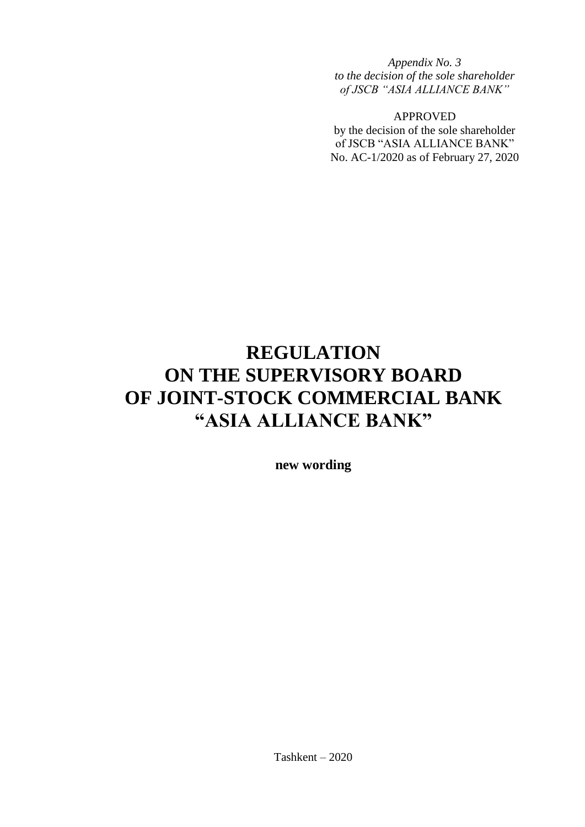*Appendix No. 3 to the decision of the sole shareholder of JSCB "ASIA ALLIANCE BANK"* 

APPROVED by the decision of the sole shareholder of JSCB "ASIA ALLIANCE BANK" No. AC-1/2020 as of February 27, 2020

# **REGULATION ON THE SUPERVISORY BOARD OF JOINT-STOCK COMMERCIAL BANK "ASIA ALLIANCE BANK"**

**new wording**

Tashkent – 2020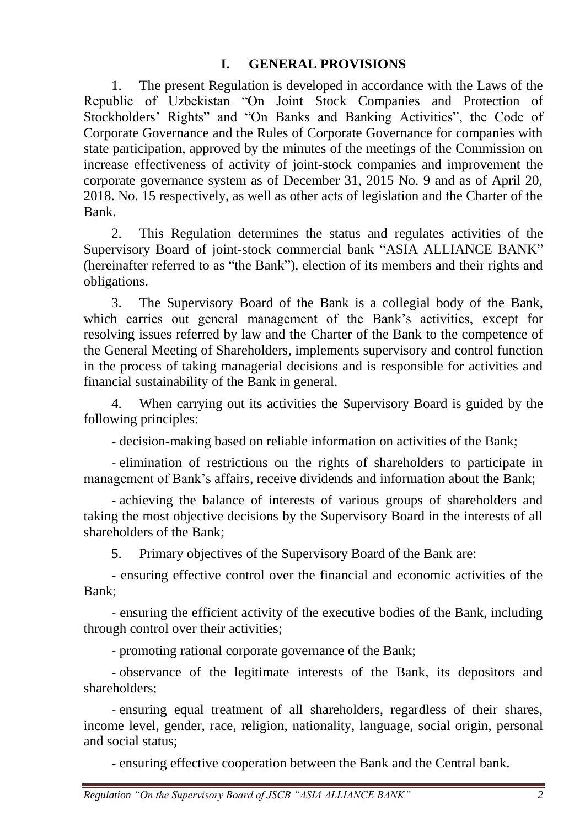### **I. GENERAL PROVISIONS**

1. The present Regulation is developed in accordance with the Laws of the Republic of Uzbekistan "On Joint Stock Companies and Protection of Stockholders' Rights" and "On Banks and Banking Activities", the Code of Corporate Governance and the Rules of Corporate Governance for companies with state participation, approved by the minutes of the meetings of the Commission on increase effectiveness of activity of joint-stock companies and improvement the corporate governance system as of December 31, 2015 No. 9 and as of April 20, 2018. No. 15 respectively, as well as other acts of legislation and the Charter of the Bank.

2. This Regulation determines the status and regulates activities of the Supervisory Board of joint-stock commercial bank "ASIA ALLIANCE BANK" (hereinafter referred to as "the Bank"), election of its members and their rights and obligations.

3. The Supervisory Board of the Bank is a collegial body of the Bank, which carries out general management of the Bank's activities, except for resolving issues referred by law and the Charter of the Bank to the competence of the General Meeting of Shareholders, implements supervisory and control function in the process of taking managerial decisions and is responsible for activities and financial sustainability of the Bank in general.

4. When carrying out its activities the Supervisory Board is guided by the following principles:

- decision-making based on reliable information on activities of the Bank;

- elimination of restrictions on the rights of shareholders to participate in management of Bank's affairs, receive dividends and information about the Bank;

- achieving the balance of interests of various groups of shareholders and taking the most objective decisions by the Supervisory Board in the interests of all shareholders of the Bank;

5. Primary objectives of the Supervisory Board of the Bank are:

- ensuring effective control over the financial and economic activities of the Bank;

- ensuring the efficient activity of the executive bodies of the Bank, including through control over their activities;

- promoting rational corporate governance of the Bank;

- observance of the legitimate interests of the Bank, its depositors and shareholders;

- ensuring equal treatment of all shareholders, regardless of their shares, income level, gender, race, religion, nationality, language, social origin, personal and social status;

- ensuring effective cooperation between the Bank and the Central bank.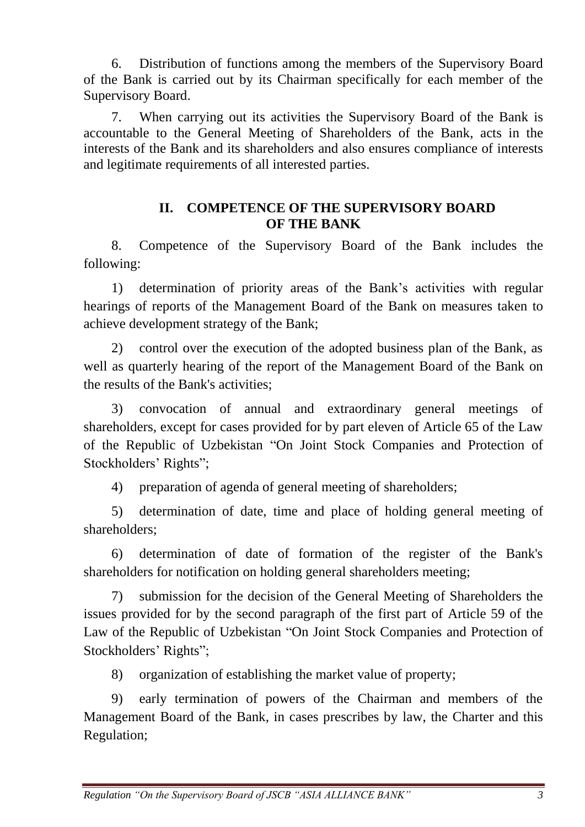6. Distribution of functions among the members of the Supervisory Board of the Bank is carried out by its Chairman specifically for each member of the Supervisory Board.

7. When carrying out its activities the Supervisory Board of the Bank is accountable to the General Meeting of Shareholders of the Bank, acts in the interests of the Bank and its shareholders and also ensures compliance of interests and legitimate requirements of all interested parties.

#### **II. COMPETENCE OF THE SUPERVISORY BOARD OF THE BANK**

8. Competence of the Supervisory Board of the Bank includes the following:

1) determination of priority areas of the Bank's activities with regular hearings of reports of the Management Board of the Bank on measures taken to achieve development strategy of the Bank;

2) control over the execution of the adopted business plan of the Bank, as well as quarterly hearing of the report of the Management Board of the Bank on the results of the Bank's activities;

3) convocation of annual and extraordinary general meetings of shareholders, except for cases provided for by part eleven of Article 65 of the Law of the Republic of Uzbekistan "On Joint Stock Companies and Protection of Stockholders' Rights";

4) preparation of agenda of general meeting of shareholders;

5) determination of date, time and place of holding general meeting of shareholders;

6) determination of date of formation of the register of the Bank's shareholders for notification on holding general shareholders meeting;

7) submission for the decision of the General Meeting of Shareholders the issues provided for by the second paragraph of the first part of Article 59 of the Law of the Republic of Uzbekistan "On Joint Stock Companies and Protection of Stockholders' Rights";

8) organization of establishing the market value of property;

9) early termination of powers of the Chairman and members of the Management Board of the Bank, in cases prescribes by law, the Charter and this Regulation;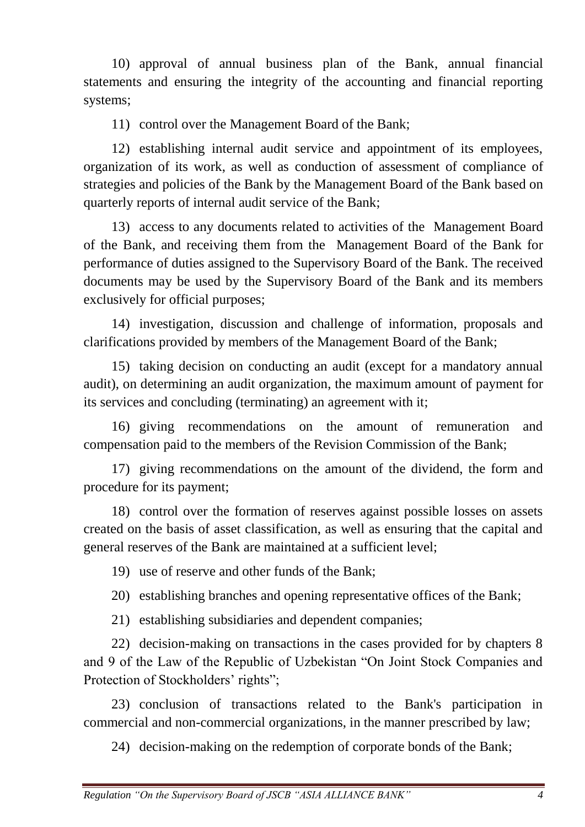10) approval of annual business plan of the Bank, annual financial statements and ensuring the integrity of the accounting and financial reporting systems;

11) control over the Management Board of the Bank;

12) establishing internal audit service and appointment of its employees, organization of its work, as well as conduction of assessment of compliance of strategies and policies of the Bank by the Management Board of the Bank based on quarterly reports of internal audit service of the Bank;

13) access to any documents related to activities of the Management Board of the Bank, and receiving them from the Management Board of the Bank for performance of duties assigned to the Supervisory Board of the Bank. The received documents may be used by the Supervisory Board of the Bank and its members exclusively for official purposes;

14) investigation, discussion and challenge of information, proposals and clarifications provided by members of the Management Board of the Bank;

15) taking decision on conducting an audit (except for a mandatory annual audit), on determining an audit organization, the maximum amount of payment for its services and concluding (terminating) an agreement with it;

16) giving recommendations on the amount of remuneration and compensation paid to the members of the Revision Commission of the Bank;

17) giving recommendations on the amount of the dividend, the form and procedure for its payment;

18) control over the formation of reserves against possible losses on assets created on the basis of asset classification, as well as ensuring that the capital and general reserves of the Bank are maintained at a sufficient level;

19) use of reserve and other funds of the Bank;

20) establishing branches and opening representative offices of the Bank;

21) establishing subsidiaries and dependent companies;

22) decision-making on transactions in the cases provided for by chapters 8 and 9 of the Law of the Republic of Uzbekistan "On Joint Stock Companies and Protection of Stockholders' rights";

23) conclusion of transactions related to the Bank's participation in commercial and non-commercial organizations, in the manner prescribed by law;

24) decision-making on the redemption of corporate bonds of the Bank;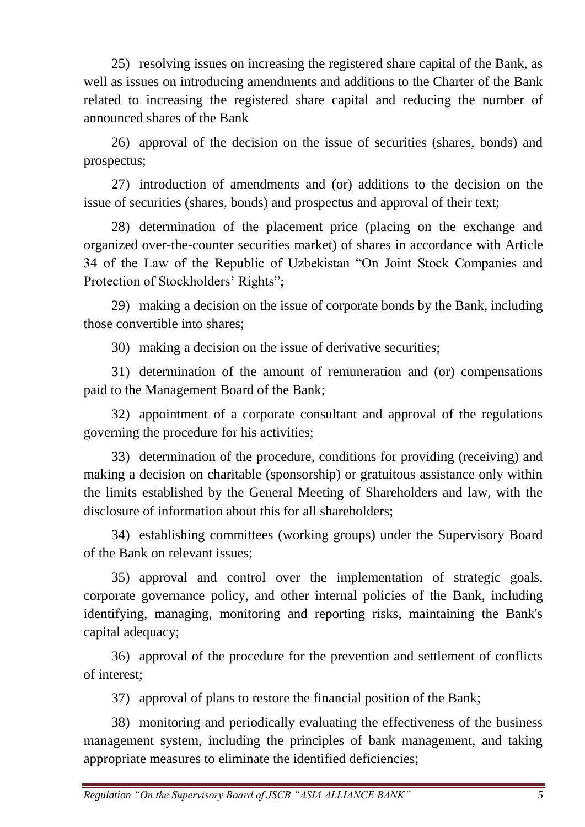25) resolving issues on increasing the registered share capital of the Bank, as well as issues on introducing amendments and additions to the Charter of the Bank related to increasing the registered share capital and reducing the number of announced shares of the Bank

26) approval of the decision on the issue of securities (shares, bonds) and prospectus;

27) introduction of amendments and (or) additions to the decision on the issue of securities (shares, bonds) and prospectus and approval of their text;

28) determination of the placement price (placing on the exchange and organized over-the-counter securities market) of shares in accordance with Article 34 of the Law of the Republic of Uzbekistan "On Joint Stock Companies and Protection of Stockholders' Rights";

29) making a decision on the issue of corporate bonds by the Bank, including those convertible into shares;

30) making a decision on the issue of derivative securities;

31) determination of the amount of remuneration and (or) compensations paid to the Management Board of the Bank;

32) appointment of a corporate consultant and approval of the regulations governing the procedure for his activities;

33) determination of the procedure, conditions for providing (receiving) and making a decision on charitable (sponsorship) or gratuitous assistance only within the limits established by the General Meeting of Shareholders and law, with the disclosure of information about this for all shareholders;

34) establishing committees (working groups) under the Supervisory Board of the Bank on relevant issues;

35) approval and control over the implementation of strategic goals, corporate governance policy, and other internal policies of the Bank, including identifying, managing, monitoring and reporting risks, maintaining the Bank's capital adequacy;

36) approval of the procedure for the prevention and settlement of conflicts of interest;

37) approval of plans to restore the financial position of the Bank;

38) monitoring and periodically evaluating the effectiveness of the business management system, including the principles of bank management, and taking appropriate measures to eliminate the identified deficiencies;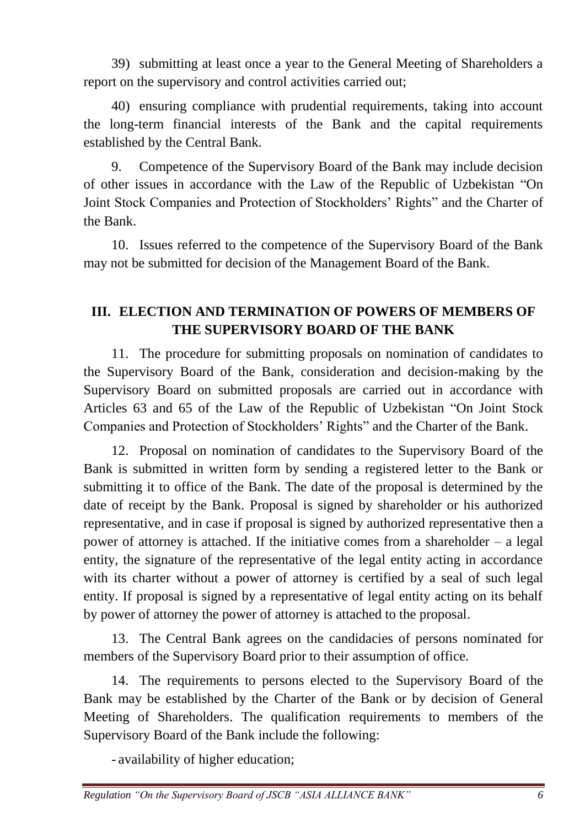39) submitting at least once a year to the General Meeting of Shareholders a report on the supervisory and control activities carried out;

40) ensuring compliance with prudential requirements, taking into account the long-term financial interests of the Bank and the capital requirements established by the Central Bank.

9. Competence of the Supervisory Board of the Bank may include decision of other issues in accordance with the Law of the Republic of Uzbekistan "On Joint Stock Companies and Protection of Stockholders' Rights" and the Charter of the Bank.

10. Issues referred to the competence of the Supervisory Board of the Bank may not be submitted for decision of the Management Board of the Bank.

## **III. ELECTION AND TERMINATION OF POWERS OF MEMBERS OF THE SUPERVISORY BOARD OF THE BANK**

11. The procedure for submitting proposals on nomination of candidates to the Supervisory Board of the Bank, consideration and decision-making by the Supervisory Board on submitted proposals are carried out in accordance with Articles 63 and 65 of the Law of the Republic of Uzbekistan "On Joint Stock Companies and Protection of Stockholders' Rights" and the Charter of the Bank.

12. Proposal on nomination of candidates to the Supervisory Board of the Bank is submitted in written form by sending a registered letter to the Bank or submitting it to office of the Bank. The date of the proposal is determined by the date of receipt by the Bank. Proposal is signed by shareholder or his authorized representative, and in case if proposal is signed by authorized representative then a power of attorney is attached. If the initiative comes from a shareholder – a legal entity, the signature of the representative of the legal entity acting in accordance with its charter without a power of attorney is certified by a seal of such legal entity. If proposal is signed by a representative of legal entity acting on its behalf by power of attorney the power of attorney is attached to the proposal.

13. The Central Bank agrees on the candidacies of persons nominated for members of the Supervisory Board prior to their assumption of office.

14. The requirements to persons elected to the Supervisory Board of the Bank may be established by the Charter of the Bank or by decision of General Meeting of Shareholders. The qualification requirements to members of the Supervisory Board of the Bank include the following:

- availability of higher education;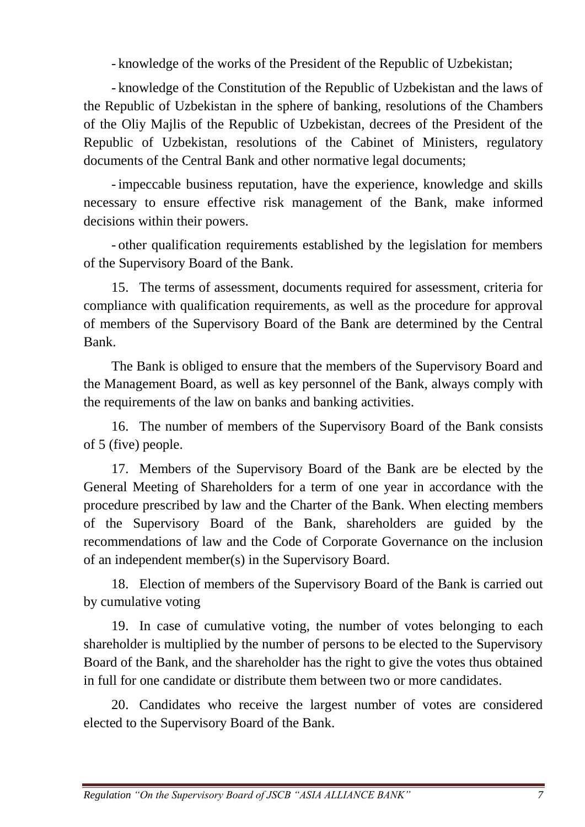- knowledge of the works of the President of the Republic of Uzbekistan;

- knowledge of the Constitution of the Republic of Uzbekistan and the laws of the Republic of Uzbekistan in the sphere of banking, resolutions of the Chambers of the Oliy Majlis of the Republic of Uzbekistan, decrees of the President of the Republic of Uzbekistan, resolutions of the Cabinet of Ministers, regulatory documents of the Central Bank and other normative legal documents;

- impeccable business reputation, have the experience, knowledge and skills necessary to ensure effective risk management of the Bank, make informed decisions within their powers.

- other qualification requirements established by the legislation for members of the Supervisory Board of the Bank.

15. The terms of assessment, documents required for assessment, criteria for compliance with qualification requirements, as well as the procedure for approval of members of the Supervisory Board of the Bank are determined by the Central Bank.

The Bank is obliged to ensure that the members of the Supervisory Board and the Management Board, as well as key personnel of the Bank, always comply with the requirements of the law on banks and banking activities.

16. The number of members of the Supervisory Board of the Bank consists of 5 (five) people.

17. Members of the Supervisory Board of the Bank are be elected by the General Meeting of Shareholders for a term of one year in accordance with the procedure prescribed by law and the Charter of the Bank. When electing members of the Supervisory Board of the Bank, shareholders are guided by the recommendations of law and the Code of Corporate Governance on the inclusion of an independent member(s) in the Supervisory Board.

18. Election of members of the Supervisory Board of the Bank is carried out by cumulative voting

19. In case of cumulative voting, the number of votes belonging to each shareholder is multiplied by the number of persons to be elected to the Supervisory Board of the Bank, and the shareholder has the right to give the votes thus obtained in full for one candidate or distribute them between two or more candidates.

20. Candidates who receive the largest number of votes are considered elected to the Supervisory Board of the Bank.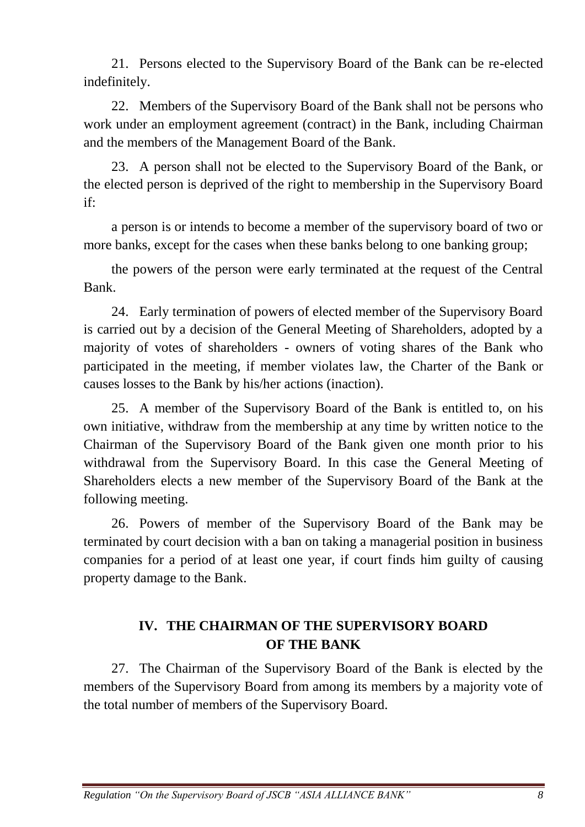21. Persons elected to the Supervisory Board of the Bank can be re-elected indefinitely.

22. Members of the Supervisory Board of the Bank shall not be persons who work under an employment agreement (contract) in the Bank, including Chairman and the members of the Management Board of the Bank.

23. A person shall not be elected to the Supervisory Board of the Bank, or the elected person is deprived of the right to membership in the Supervisory Board if:

a person is or intends to become a member of the supervisory board of two or more banks, except for the cases when these banks belong to one banking group;

the powers of the person were early terminated at the request of the Central Bank.

24. Early termination of powers of elected member of the Supervisory Board is carried out by a decision of the General Meeting of Shareholders, adopted by a majority of votes of shareholders - owners of voting shares of the Bank who participated in the meeting, if member violates law, the Charter of the Bank or causes losses to the Bank by his/her actions (inaction).

25. A member of the Supervisory Board of the Bank is entitled to, on his own initiative, withdraw from the membership at any time by written notice to the Chairman of the Supervisory Board of the Bank given one month prior to his withdrawal from the Supervisory Board. In this case the General Meeting of Shareholders elects a new member of the Supervisory Board of the Bank at the following meeting.

26. Powers of member of the Supervisory Board of the Bank may be terminated by court decision with a ban on taking a managerial position in business companies for a period of at least one year, if court finds him guilty of causing property damage to the Bank.

## **IV. THE CHAIRMAN OF THE SUPERVISORY BOARD OF THE BANK**

27. The Chairman of the Supervisory Board of the Bank is elected by the members of the Supervisory Board from among its members by a majority vote of the total number of members of the Supervisory Board.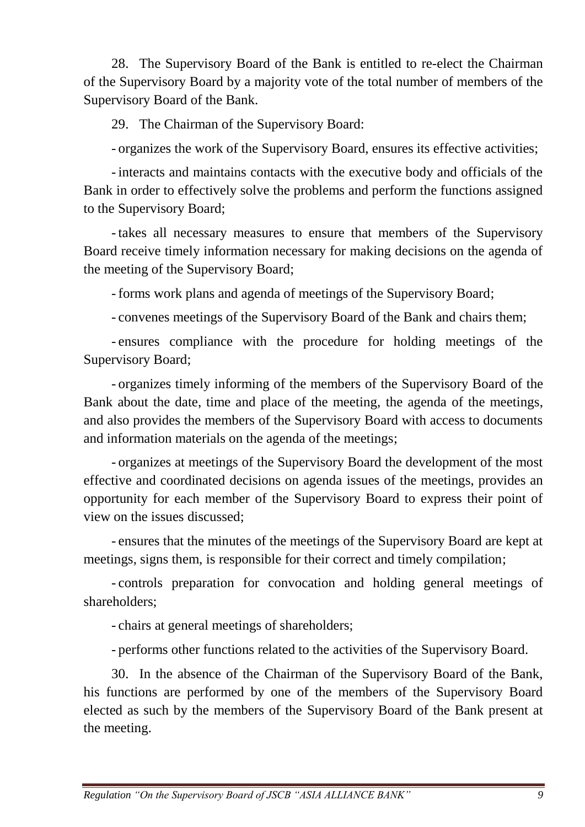28. The Supervisory Board of the Bank is entitled to re-elect the Chairman of the Supervisory Board by a majority vote of the total number of members of the Supervisory Board of the Bank.

29. The Chairman of the Supervisory Board:

- organizes the work of the Supervisory Board, ensures its effective activities;

- interacts and maintains contacts with the executive body and officials of the Bank in order to effectively solve the problems and perform the functions assigned to the Supervisory Board;

- takes all necessary measures to ensure that members of the Supervisory Board receive timely information necessary for making decisions on the agenda of the meeting of the Supervisory Board;

- forms work plans and agenda of meetings of the Supervisory Board;

- convenes meetings of the Supervisory Board of the Bank and chairs them;

- ensures compliance with the procedure for holding meetings of the Supervisory Board;

- organizes timely informing of the members of the Supervisory Board of the Bank about the date, time and place of the meeting, the agenda of the meetings, and also provides the members of the Supervisory Board with access to documents and information materials on the agenda of the meetings;

- organizes at meetings of the Supervisory Board the development of the most effective and coordinated decisions on agenda issues of the meetings, provides an opportunity for each member of the Supervisory Board to express their point of view on the issues discussed;

- ensures that the minutes of the meetings of the Supervisory Board are kept at meetings, signs them, is responsible for their correct and timely compilation;

- controls preparation for convocation and holding general meetings of shareholders;

- chairs at general meetings of shareholders;

- performs other functions related to the activities of the Supervisory Board.

30. In the absence of the Chairman of the Supervisory Board of the Bank, his functions are performed by one of the members of the Supervisory Board elected as such by the members of the Supervisory Board of the Bank present at the meeting.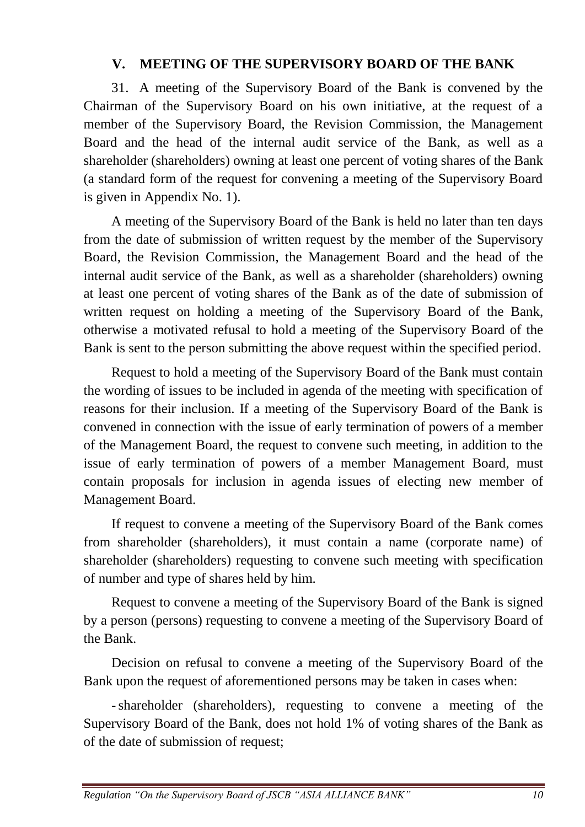#### **V. MEETING OF THE SUPERVISORY BOARD OF THE BANK**

31. A meeting of the Supervisory Board of the Bank is convened by the Chairman of the Supervisory Board on his own initiative, at the request of a member of the Supervisory Board, the Revision Commission, the Management Board and the head of the internal audit service of the Bank, as well as a shareholder (shareholders) owning at least one percent of voting shares of the Bank (a standard form of the request for convening a meeting of the Supervisory Board is given in Appendix No. 1).

A meeting of the Supervisory Board of the Bank is held no later than ten days from the date of submission of written request by the member of the Supervisory Board, the Revision Commission, the Management Board and the head of the internal audit service of the Bank, as well as a shareholder (shareholders) owning at least one percent of voting shares of the Bank as of the date of submission of written request on holding a meeting of the Supervisory Board of the Bank, otherwise a motivated refusal to hold a meeting of the Supervisory Board of the Bank is sent to the person submitting the above request within the specified period.

Request to hold a meeting of the Supervisory Board of the Bank must contain the wording of issues to be included in agenda of the meeting with specification of reasons for their inclusion. If a meeting of the Supervisory Board of the Bank is convened in connection with the issue of early termination of powers of a member of the Management Board, the request to convene such meeting, in addition to the issue of early termination of powers of a member Management Board, must contain proposals for inclusion in agenda issues of electing new member of Management Board.

If request to convene a meeting of the Supervisory Board of the Bank comes from shareholder (shareholders), it must contain a name (corporate name) of shareholder (shareholders) requesting to convene such meeting with specification of number and type of shares held by him.

Request to convene a meeting of the Supervisory Board of the Bank is signed by a person (persons) requesting to convene a meeting of the Supervisory Board of the Bank.

Decision on refusal to convene a meeting of the Supervisory Board of the Bank upon the request of aforementioned persons may be taken in cases when:

-shareholder (shareholders), requesting to convene a meeting of the Supervisory Board of the Bank, does not hold 1% of voting shares of the Bank as of the date of submission of request;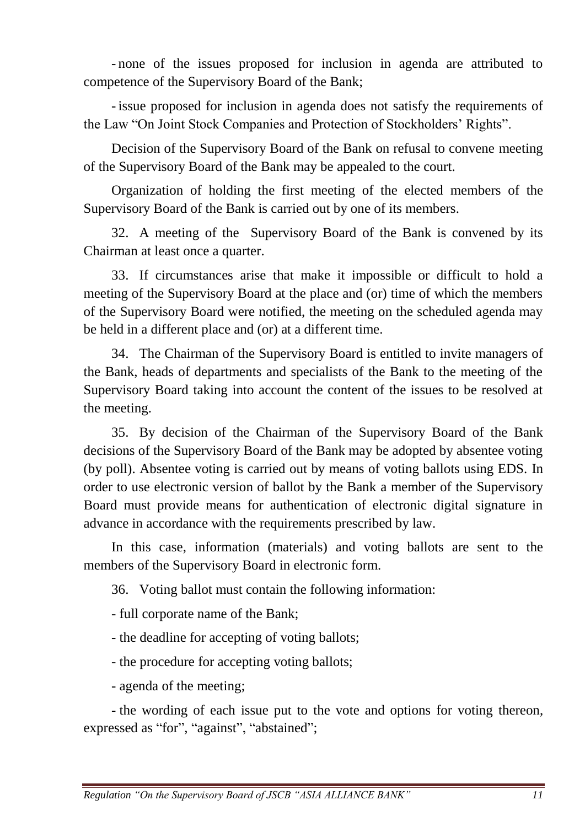- none of the issues proposed for inclusion in agenda are attributed to competence of the Supervisory Board of the Bank;

- issue proposed for inclusion in agenda does not satisfy the requirements of the Law "On Joint Stock Companies and Protection of Stockholders' Rights".

Decision of the Supervisory Board of the Bank on refusal to convene meeting of the Supervisory Board of the Bank may be appealed to the court.

Organization of holding the first meeting of the elected members of the Supervisory Board of the Bank is carried out by one of its members.

32. A meeting of the Supervisory Board of the Bank is convened by its Chairman at least once a quarter.

33. If circumstances arise that make it impossible or difficult to hold a meeting of the Supervisory Board at the place and (or) time of which the members of the Supervisory Board were notified, the meeting on the scheduled agenda may be held in a different place and (or) at a different time.

34. The Chairman of the Supervisory Board is entitled to invite managers of the Bank, heads of departments and specialists of the Bank to the meeting of the Supervisory Board taking into account the content of the issues to be resolved at the meeting.

35. By decision of the Chairman of the Supervisory Board of the Bank decisions of the Supervisory Board of the Bank may be adopted by absentee voting (by poll). Absentee voting is carried out by means of voting ballots using EDS. In order to use electronic version of ballot by the Bank a member of the Supervisory Board must provide means for authentication of electronic digital signature in advance in accordance with the requirements prescribed by law.

In this case, information (materials) and voting ballots are sent to the members of the Supervisory Board in electronic form.

36. Voting ballot must contain the following information:

- full corporate name of the Bank;

- the deadline for accepting of voting ballots;
- the procedure for accepting voting ballots;
- agenda of the meeting;

- the wording of each issue put to the vote and options for voting thereon, expressed as "for", "against", "abstained";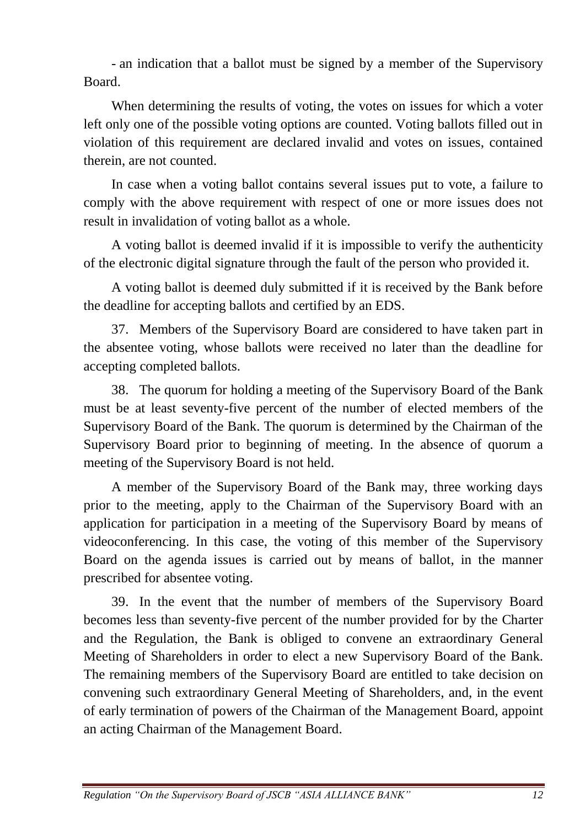- an indication that a ballot must be signed by a member of the Supervisory Board.

When determining the results of voting, the votes on issues for which a voter left only one of the possible voting options are counted. Voting ballots filled out in violation of this requirement are declared invalid and votes on issues, contained therein, are not counted.

In case when a voting ballot contains several issues put to vote, a failure to comply with the above requirement with respect of one or more issues does not result in invalidation of voting ballot as a whole.

A voting ballot is deemed invalid if it is impossible to verify the authenticity of the electronic digital signature through the fault of the person who provided it.

A voting ballot is deemed duly submitted if it is received by the Bank before the deadline for accepting ballots and certified by an EDS.

37. Members of the Supervisory Board are considered to have taken part in the absentee voting, whose ballots were received no later than the deadline for accepting completed ballots.

38. The quorum for holding a meeting of the Supervisory Board of the Bank must be at least seventy-five percent of the number of elected members of the Supervisory Board of the Bank. The quorum is determined by the Chairman of the Supervisory Board prior to beginning of meeting. In the absence of quorum a meeting of the Supervisory Board is not held.

A member of the Supervisory Board of the Bank may, three working days prior to the meeting, apply to the Chairman of the Supervisory Board with an application for participation in a meeting of the Supervisory Board by means of videoconferencing. In this case, the voting of this member of the Supervisory Board on the agenda issues is carried out by means of ballot, in the manner prescribed for absentee voting.

39. In the event that the number of members of the Supervisory Board becomes less than seventy-five percent of the number provided for by the Charter and the Regulation, the Bank is obliged to convene an extraordinary General Meeting of Shareholders in order to elect a new Supervisory Board of the Bank. The remaining members of the Supervisory Board are entitled to take decision on convening such extraordinary General Meeting of Shareholders, and, in the event of early termination of powers of the Chairman of the Management Board, appoint an acting Chairman of the Management Board.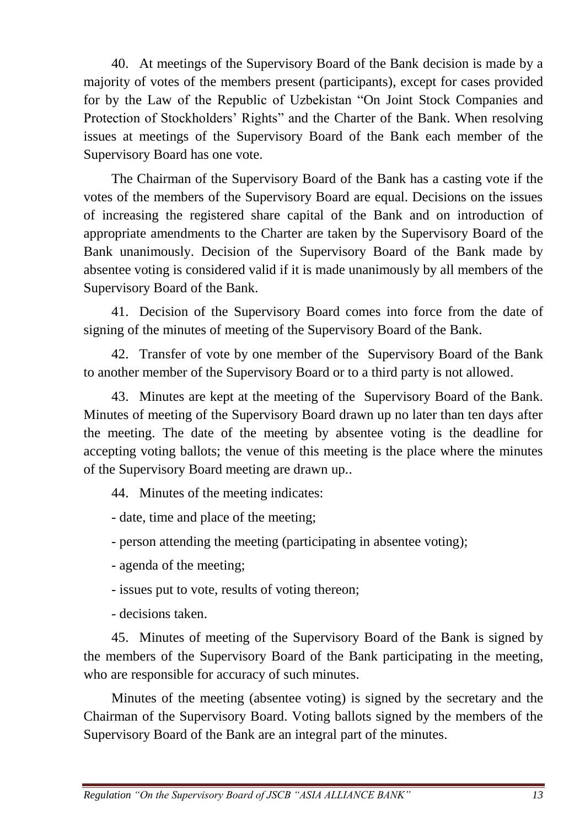40. At meetings of the Supervisory Board of the Bank decision is made by a majority of votes of the members present (participants), except for cases provided for by the Law of the Republic of Uzbekistan "On Joint Stock Companies and Protection of Stockholders' Rights" and the Charter of the Bank. When resolving issues at meetings of the Supervisory Board of the Bank each member of the Supervisory Board has one vote.

The Chairman of the Supervisory Board of the Bank has a casting vote if the votes of the members of the Supervisory Board are equal. Decisions on the issues of increasing the registered share capital of the Bank and on introduction of appropriate amendments to the Charter are taken by the Supervisory Board of the Bank unanimously. Decision of the Supervisory Board of the Bank made by absentee voting is considered valid if it is made unanimously by all members of the Supervisory Board of the Bank.

41. Decision of the Supervisory Board comes into force from the date of signing of the minutes of meeting of the Supervisory Board of the Bank.

42. Transfer of vote by one member of the Supervisory Board of the Bank to another member of the Supervisory Board or to a third party is not allowed.

43. Minutes are kept at the meeting of the Supervisory Board of the Bank. Minutes of meeting of the Supervisory Board drawn up no later than ten days after the meeting. The date of the meeting by absentee voting is the deadline for accepting voting ballots; the venue of this meeting is the place where the minutes of the Supervisory Board meeting are drawn up..

44. Minutes of the meeting indicates:

- date, time and place of the meeting;
- person attending the meeting (participating in absentee voting);
- agenda of the meeting;
- issues put to vote, results of voting thereon;
- decisions taken.

45. Minutes of meeting of the Supervisory Board of the Bank is signed by the members of the Supervisory Board of the Bank participating in the meeting, who are responsible for accuracy of such minutes.

Minutes of the meeting (absentee voting) is signed by the secretary and the Chairman of the Supervisory Board. Voting ballots signed by the members of the Supervisory Board of the Bank are an integral part of the minutes.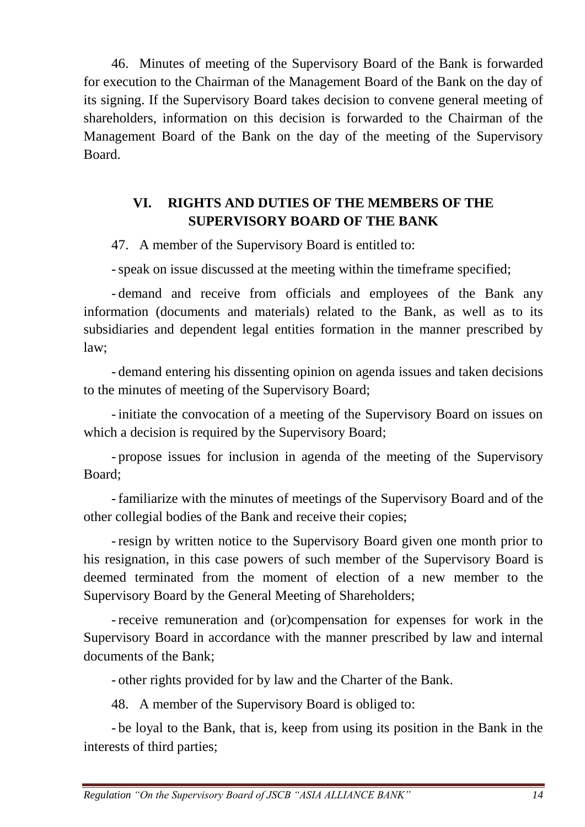46. Minutes of meeting of the Supervisory Board of the Bank is forwarded for execution to the Chairman of the Management Board of the Bank on the day of its signing. If the Supervisory Board takes decision to convene general meeting of shareholders, information on this decision is forwarded to the Chairman of the Management Board of the Bank on the day of the meeting of the Supervisory Board.

## **VI. RIGHTS AND DUTIES OF THE MEMBERS OF THE SUPERVISORY BOARD OF THE BANK**

47. A member of the Supervisory Board is entitled to:

-speak on issue discussed at the meeting within the timeframe specified;

- demand and receive from officials and employees of the Bank any information (documents and materials) related to the Bank, as well as to its subsidiaries and dependent legal entities formation in the manner prescribed by law;

- demand entering his dissenting opinion on agenda issues and taken decisions to the minutes of meeting of the Supervisory Board;

- initiate the convocation of a meeting of the Supervisory Board on issues on which a decision is required by the Supervisory Board;

- propose issues for inclusion in agenda of the meeting of the Supervisory Board;

- familiarize with the minutes of meetings of the Supervisory Board and of the other collegial bodies of the Bank and receive their copies;

- resign by written notice to the Supervisory Board given one month prior to his resignation, in this case powers of such member of the Supervisory Board is deemed terminated from the moment of election of a new member to the Supervisory Board by the General Meeting of Shareholders;

- receive remuneration and (or)compensation for expenses for work in the Supervisory Board in accordance with the manner prescribed by law and internal documents of the Bank;

- other rights provided for by law and the Charter of the Bank.

48. A member of the Supervisory Board is obliged to:

- be loyal to the Bank, that is, keep from using its position in the Bank in the interests of third parties;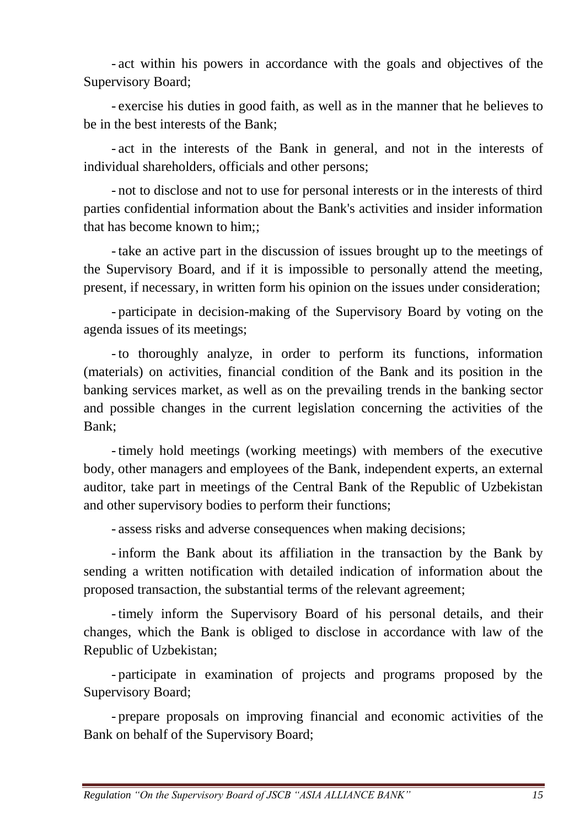- act within his powers in accordance with the goals and objectives of the Supervisory Board;

- exercise his duties in good faith, as well as in the manner that he believes to be in the best interests of the Bank;

- act in the interests of the Bank in general, and not in the interests of individual shareholders, officials and other persons;

- not to disclose and not to use for personal interests or in the interests of third parties confidential information about the Bank's activities and insider information that has become known to him;;

- take an active part in the discussion of issues brought up to the meetings of the Supervisory Board, and if it is impossible to personally attend the meeting, present, if necessary, in written form his opinion on the issues under consideration;

- participate in decision-making of the Supervisory Board by voting on the agenda issues of its meetings;

- to thoroughly analyze, in order to perform its functions, information (materials) on activities, financial condition of the Bank and its position in the banking services market, as well as on the prevailing trends in the banking sector and possible changes in the current legislation concerning the activities of the Bank;

- timely hold meetings (working meetings) with members of the executive body, other managers and employees of the Bank, independent experts, an external auditor, take part in meetings of the Central Bank of the Republic of Uzbekistan and other supervisory bodies to perform their functions;

- assess risks and adverse consequences when making decisions;

- inform the Bank about its affiliation in the transaction by the Bank by sending a written notification with detailed indication of information about the proposed transaction, the substantial terms of the relevant agreement;

- timely inform the Supervisory Board of his personal details, and their changes, which the Bank is obliged to disclose in accordance with law of the Republic of Uzbekistan;

- participate in examination of projects and programs proposed by the Supervisory Board;

- prepare proposals on improving financial and economic activities of the Bank on behalf of the Supervisory Board;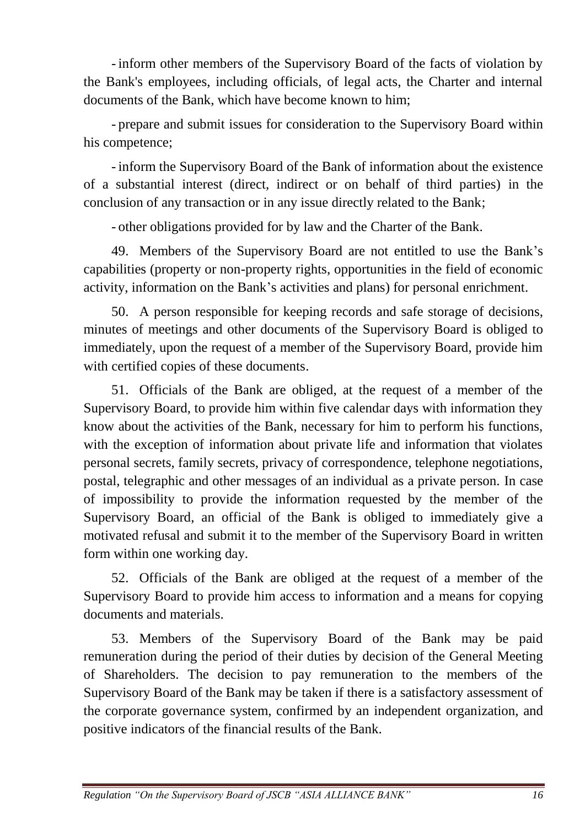- inform other members of the Supervisory Board of the facts of violation by the Bank's employees, including officials, of legal acts, the Charter and internal documents of the Bank, which have become known to him;

- prepare and submit issues for consideration to the Supervisory Board within his competence;

- inform the Supervisory Board of the Bank of information about the existence of a substantial interest (direct, indirect or on behalf of third parties) in the conclusion of any transaction or in any issue directly related to the Bank;

- other obligations provided for by law and the Charter of the Bank.

49. Members of the Supervisory Board are not entitled to use the Bank's capabilities (property or non-property rights, opportunities in the field of economic activity, information on the Bank's activities and plans) for personal enrichment.

50. A person responsible for keeping records and safe storage of decisions, minutes of meetings and other documents of the Supervisory Board is obliged to immediately, upon the request of a member of the Supervisory Board, provide him with certified copies of these documents.

51. Officials of the Bank are obliged, at the request of a member of the Supervisory Board, to provide him within five calendar days with information they know about the activities of the Bank, necessary for him to perform his functions, with the exception of information about private life and information that violates personal secrets, family secrets, privacy of correspondence, telephone negotiations, postal, telegraphic and other messages of an individual as a private person. In case of impossibility to provide the information requested by the member of the Supervisory Board, an official of the Bank is obliged to immediately give a motivated refusal and submit it to the member of the Supervisory Board in written form within one working day.

52. Officials of the Bank are obliged at the request of a member of the Supervisory Board to provide him access to information and a means for copying documents and materials.

53. Members of the Supervisory Board of the Bank may be paid remuneration during the period of their duties by decision of the General Meeting of Shareholders. The decision to pay remuneration to the members of the Supervisory Board of the Bank may be taken if there is a satisfactory assessment of the corporate governance system, confirmed by an independent organization, and positive indicators of the financial results of the Bank.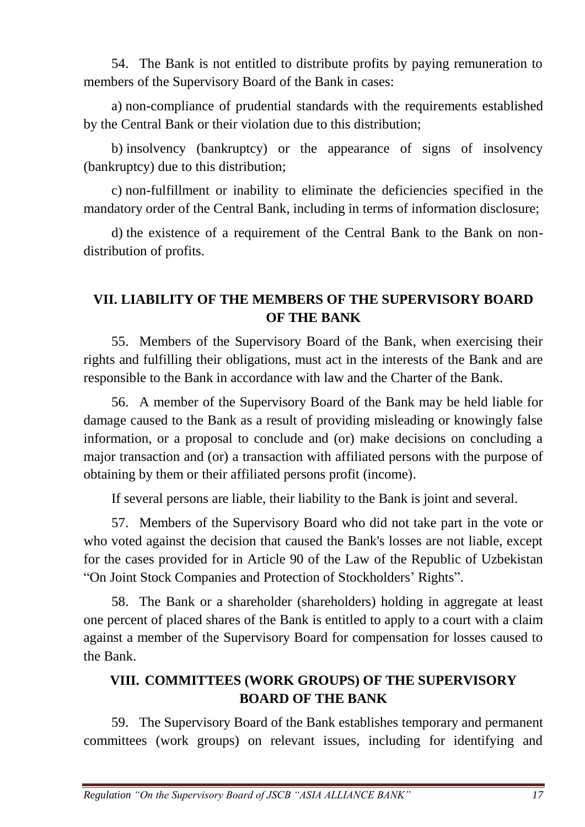54. The Bank is not entitled to distribute profits by paying remuneration to members of the Supervisory Board of the Bank in cases:

a) non-compliance of prudential standards with the requirements established by the Central Bank or their violation due to this distribution;

b) insolvency (bankruptcy) or the appearance of signs of insolvency (bankruptcy) due to this distribution;

c) non-fulfillment or inability to eliminate the deficiencies specified in the mandatory order of the Central Bank, including in terms of information disclosure;

d) the existence of a requirement of the Central Bank to the Bank on nondistribution of profits.

#### **VII. LIABILITY OF THE MEMBERS OF THE SUPERVISORY BOARD OF THE BANK**

55. Members of the Supervisory Board of the Bank, when exercising their rights and fulfilling their obligations, must act in the interests of the Bank and are responsible to the Bank in accordance with law and the Charter of the Bank.

56. A member of the Supervisory Board of the Bank may be held liable for damage caused to the Bank as a result of providing misleading or knowingly false information, or a proposal to conclude and (or) make decisions on concluding a major transaction and (or) a transaction with affiliated persons with the purpose of obtaining by them or their affiliated persons profit (income).

If several persons are liable, their liability to the Bank is joint and several.

57. Members of the Supervisory Board who did not take part in the vote or who voted against the decision that caused the Bank's losses are not liable, except for the cases provided for in Article 90 of the Law of the Republic of Uzbekistan "On Joint Stock Companies and Protection of Stockholders' Rights".

58. The Bank or a shareholder (shareholders) holding in aggregate at least one percent of placed shares of the Bank is entitled to apply to a court with a claim against a member of the Supervisory Board for compensation for losses caused to the Bank.

## **VIII. COMMITTEES (WORK GROUPS) OF THE SUPERVISORY BOARD OF THE BANK**

59. The Supervisory Board of the Bank establishes temporary and permanent committees (work groups) on relevant issues, including for identifying and